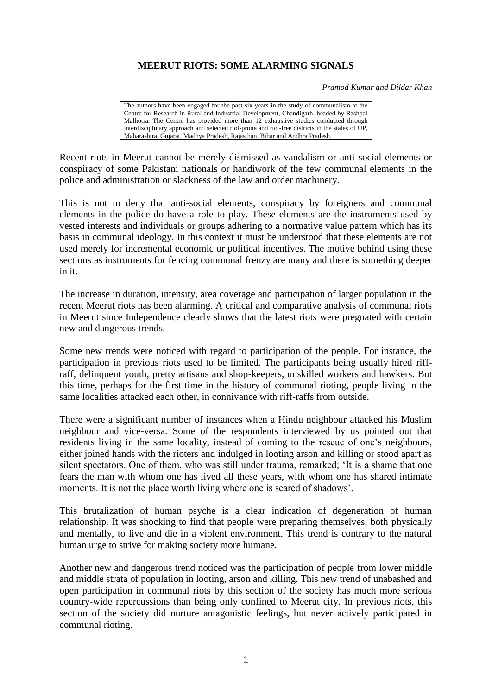## **MEERUT RIOTS: SOME ALARMING SIGNALS**

*Pramod Kumar and Dildar Khan*

The authors have been engaged for the past six years in the study of communalism at the Centre for Research in Rural and Industrial Development, Chandigarh, headed by Rashpal Malhotra. The Centre has provided more than 12 exhaustive studies conducted through interdisciplinary approach and selected riot-prone and riot-free districts in the states of UP, Maharashtra, Gujarat, Madhya Pradesh, Rajasthan, Bihar and Andhra Pradesh.

Recent riots in Meerut cannot be merely dismissed as vandalism or anti-social elements or conspiracy of some Pakistani nationals or handiwork of the few communal elements in the police and administration or slackness of the law and order machinery.

This is not to deny that anti-social elements, conspiracy by foreigners and communal elements in the police do have a role to play. These elements are the instruments used by vested interests and individuals or groups adhering to a normative value pattern which has its basis in communal ideology. In this context it must be understood that these elements are not used merely for incremental economic or political incentives. The motive behind using these sections as instruments for fencing communal frenzy are many and there is something deeper in it.

The increase in duration, intensity, area coverage and participation of larger population in the recent Meerut riots has been alarming. A critical and comparative analysis of communal riots in Meerut since Independence clearly shows that the latest riots were pregnated with certain new and dangerous trends.

Some new trends were noticed with regard to participation of the people. For instance, the participation in previous riots used to be limited. The participants being usually hired riffraff, delinquent youth, pretty artisans and shop-keepers, unskilled workers and hawkers. But this time, perhaps for the first time in the history of communal rioting, people living in the same localities attacked each other, in connivance with riff-raffs from outside.

There were a significant number of instances when a Hindu neighbour attacked his Muslim neighbour and vice-versa. Some of the respondents interviewed by us pointed out that residents living in the same locality, instead of coming to the rescue of one's neighbours, either joined hands with the rioters and indulged in looting arson and killing or stood apart as silent spectators. One of them, who was still under trauma, remarked; 'It is a shame that one fears the man with whom one has lived all these years, with whom one has shared intimate moments. It is not the place worth living where one is scared of shadows'.

This brutalization of human psyche is a clear indication of degeneration of human relationship. It was shocking to find that people were preparing themselves, both physically and mentally, to live and die in a violent environment. This trend is contrary to the natural human urge to strive for making society more humane.

Another new and dangerous trend noticed was the participation of people from lower middle and middle strata of population in looting, arson and killing. This new trend of unabashed and open participation in communal riots by this section of the society has much more serious country-wide repercussions than being only confined to Meerut city. In previous riots, this section of the society did nurture antagonistic feelings, but never actively participated in communal rioting.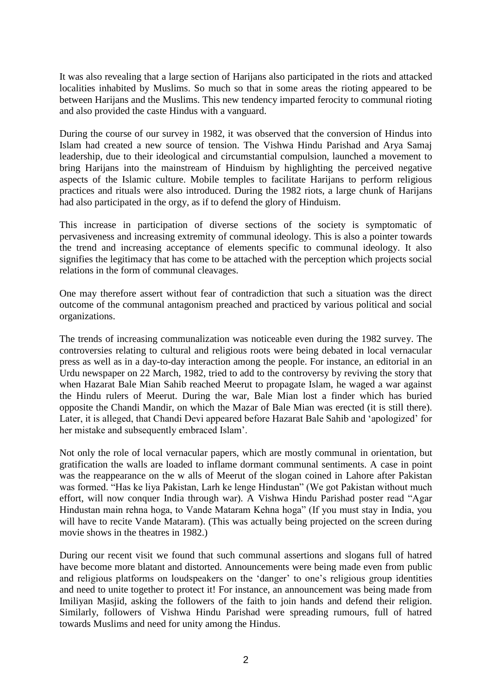It was also revealing that a large section of Harijans also participated in the riots and attacked localities inhabited by Muslims. So much so that in some areas the rioting appeared to be between Harijans and the Muslims. This new tendency imparted ferocity to communal rioting and also provided the caste Hindus with a vanguard.

During the course of our survey in 1982, it was observed that the conversion of Hindus into Islam had created a new source of tension. The Vishwa Hindu Parishad and Arya Samaj leadership, due to their ideological and circumstantial compulsion, launched a movement to bring Harijans into the mainstream of Hinduism by highlighting the perceived negative aspects of the Islamic culture. Mobile temples to facilitate Harijans to perform religious practices and rituals were also introduced. During the 1982 riots, a large chunk of Harijans had also participated in the orgy, as if to defend the glory of Hinduism.

This increase in participation of diverse sections of the society is symptomatic of pervasiveness and increasing extremity of communal ideology. This is also a pointer towards the trend and increasing acceptance of elements specific to communal ideology. It also signifies the legitimacy that has come to be attached with the perception which projects social relations in the form of communal cleavages.

One may therefore assert without fear of contradiction that such a situation was the direct outcome of the communal antagonism preached and practiced by various political and social organizations.

The trends of increasing communalization was noticeable even during the 1982 survey. The controversies relating to cultural and religious roots were being debated in local vernacular press as well as in a day-to-day interaction among the people. For instance, an editorial in an Urdu newspaper on 22 March, 1982, tried to add to the controversy by reviving the story that when Hazarat Bale Mian Sahib reached Meerut to propagate Islam, he waged a war against the Hindu rulers of Meerut. During the war, Bale Mian lost a finder which has buried opposite the Chandi Mandir, on which the Mazar of Bale Mian was erected (it is still there). Later, it is alleged, that Chandi Devi appeared before Hazarat Bale Sahib and 'apologized' for her mistake and subsequently embraced Islam'.

Not only the role of local vernacular papers, which are mostly communal in orientation, but gratification the walls are loaded to inflame dormant communal sentiments. A case in point was the reappearance on the w alls of Meerut of the slogan coined in Lahore after Pakistan was formed. "Has ke liya Pakistan, Larh ke lenge Hindustan" (We got Pakistan without much effort, will now conquer India through war). A Vishwa Hindu Parishad poster read "Agar Hindustan main rehna hoga, to Vande Mataram Kehna hoga" (If you must stay in India, you will have to recite Vande Mataram). (This was actually being projected on the screen during movie shows in the theatres in 1982.)

During our recent visit we found that such communal assertions and slogans full of hatred have become more blatant and distorted. Announcements were being made even from public and religious platforms on loudspeakers on the 'danger' to one's religious group identities and need to unite together to protect it! For instance, an announcement was being made from Imiliyan Masjid, asking the followers of the faith to join hands and defend their religion. Similarly, followers of Vishwa Hindu Parishad were spreading rumours, full of hatred towards Muslims and need for unity among the Hindus.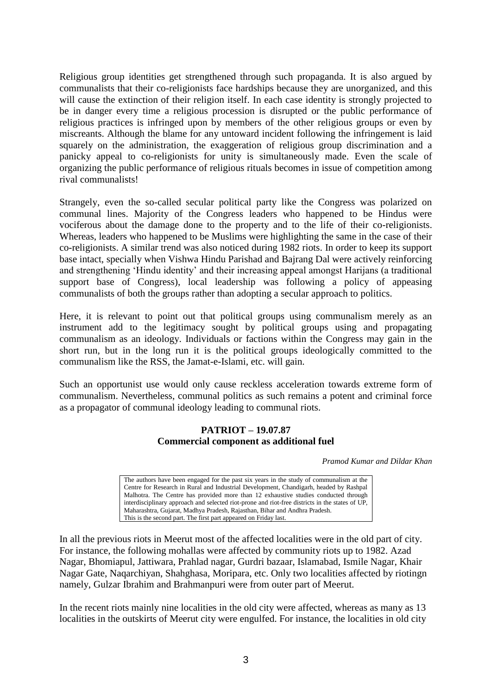Religious group identities get strengthened through such propaganda. It is also argued by communalists that their co-religionists face hardships because they are unorganized, and this will cause the extinction of their religion itself. In each case identity is strongly projected to be in danger every time a religious procession is disrupted or the public performance of religious practices is infringed upon by members of the other religious groups or even by miscreants. Although the blame for any untoward incident following the infringement is laid squarely on the administration, the exaggeration of religious group discrimination and a panicky appeal to co-religionists for unity is simultaneously made. Even the scale of organizing the public performance of religious rituals becomes in issue of competition among rival communalists!

Strangely, even the so-called secular political party like the Congress was polarized on communal lines. Majority of the Congress leaders who happened to be Hindus were vociferous about the damage done to the property and to the life of their co-religionists. Whereas, leaders who happened to be Muslims were highlighting the same in the case of their co-religionists. A similar trend was also noticed during 1982 riots. In order to keep its support base intact, specially when Vishwa Hindu Parishad and Bajrang Dal were actively reinforcing and strengthening 'Hindu identity' and their increasing appeal amongst Harijans (a traditional support base of Congress), local leadership was following a policy of appeasing communalists of both the groups rather than adopting a secular approach to politics.

Here, it is relevant to point out that political groups using communalism merely as an instrument add to the legitimacy sought by political groups using and propagating communalism as an ideology. Individuals or factions within the Congress may gain in the short run, but in the long run it is the political groups ideologically committed to the communalism like the RSS, the Jamat-e-Islami, etc. will gain.

Such an opportunist use would only cause reckless acceleration towards extreme form of communalism. Nevertheless, communal politics as such remains a potent and criminal force as a propagator of communal ideology leading to communal riots.

## **PATRIOT – 19.07.87 Commercial component as additional fuel**

*Pramod Kumar and Dildar Khan*

The authors have been engaged for the past six years in the study of communalism at the Centre for Research in Rural and Industrial Development, Chandigarh, headed by Rashpal Malhotra. The Centre has provided more than 12 exhaustive studies conducted through interdisciplinary approach and selected riot-prone and riot-free districts in the states of UP, Maharashtra, Gujarat, Madhya Pradesh, Rajasthan, Bihar and Andhra Pradesh. This is the second part. The first part appeared on Friday last.

In all the previous riots in Meerut most of the affected localities were in the old part of city. For instance, the following mohallas were affected by community riots up to 1982. Azad Nagar, Bhomiapul, Jattiwara, Prahlad nagar, Gurdri bazaar, Islamabad, Ismile Nagar, Khair Nagar Gate, Naqarchiyan, Shahghasa, Moripara, etc. Only two localities affected by riotingn namely, Gulzar Ibrahim and Brahmanpuri were from outer part of Meerut.

In the recent riots mainly nine localities in the old city were affected, whereas as many as 13 localities in the outskirts of Meerut city were engulfed. For instance, the localities in old city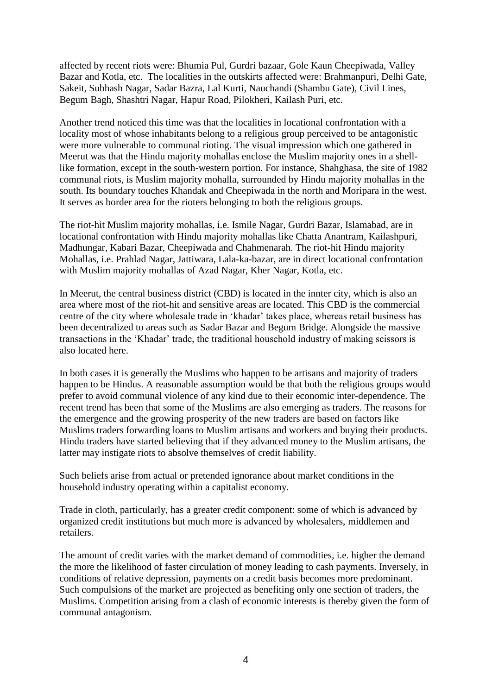affected by recent riots were: Bhumia Pul, Gurdri bazaar, Gole Kaun Cheepiwada, Valley Bazar and Kotla, etc. The localities in the outskirts affected were: Brahmanpuri, Delhi Gate, Sakeit, Subhash Nagar, Sadar Bazra, Lal Kurti, Nauchandi (Shambu Gate), Civil Lines, Begum Bagh, Shashtri Nagar, Hapur Road, Pilokheri, Kailash Puri, etc.

Another trend noticed this time was that the localities in locational confrontation with a locality most of whose inhabitants belong to a religious group perceived to be antagonistic were more vulnerable to communal rioting. The visual impression which one gathered in Meerut was that the Hindu majority mohallas enclose the Muslim majority ones in a shelllike formation, except in the south-western portion. For instance, Shahghasa, the site of 1982 communal riots, is Muslim majority mohalla, surrounded by Hindu majority mohallas in the south. Its boundary touches Khandak and Cheepiwada in the north and Moripara in the west. It serves as border area for the rioters belonging to both the religious groups.

The riot-hit Muslim majority mohallas, i.e. Ismile Nagar, Gurdri Bazar, Islamabad, are in locational confrontation with Hindu majority mohallas like Chatta Anantram, Kailashpuri, Madhungar, Kabari Bazar, Cheepiwada and Chahmenarah. The riot-hit Hindu majority Mohallas, i.e. Prahlad Nagar, Jattiwara, Lala-ka-bazar, are in direct locational confrontation with Muslim majority mohallas of Azad Nagar, Kher Nagar, Kotla, etc.

In Meerut, the central business district (CBD) is located in the innter city, which is also an area where most of the riot-hit and sensitive areas are located. This CBD is the commercial centre of the city where wholesale trade in 'khadar' takes place, whereas retail business has been decentralized to areas such as Sadar Bazar and Begum Bridge. Alongside the massive transactions in the 'Khadar' trade, the traditional household industry of making scissors is also located here.

In both cases it is generally the Muslims who happen to be artisans and majority of traders happen to be Hindus. A reasonable assumption would be that both the religious groups would prefer to avoid communal violence of any kind due to their economic inter-dependence. The recent trend has been that some of the Muslims are also emerging as traders. The reasons for the emergence and the growing prosperity of the new traders are based on factors like Muslims traders forwarding loans to Muslim artisans and workers and buying their products. Hindu traders have started believing that if they advanced money to the Muslim artisans, the latter may instigate riots to absolve themselves of credit liability.

Such beliefs arise from actual or pretended ignorance about market conditions in the household industry operating within a capitalist economy.

Trade in cloth, particularly, has a greater credit component: some of which is advanced by organized credit institutions but much more is advanced by wholesalers, middlemen and retailers.

The amount of credit varies with the market demand of commodities, i.e. higher the demand the more the likelihood of faster circulation of money leading to cash payments. Inversely, in conditions of relative depression, payments on a credit basis becomes more predominant. Such compulsions of the market are projected as benefiting only one section of traders, the Muslims. Competition arising from a clash of economic interests is thereby given the form of communal antagonism.